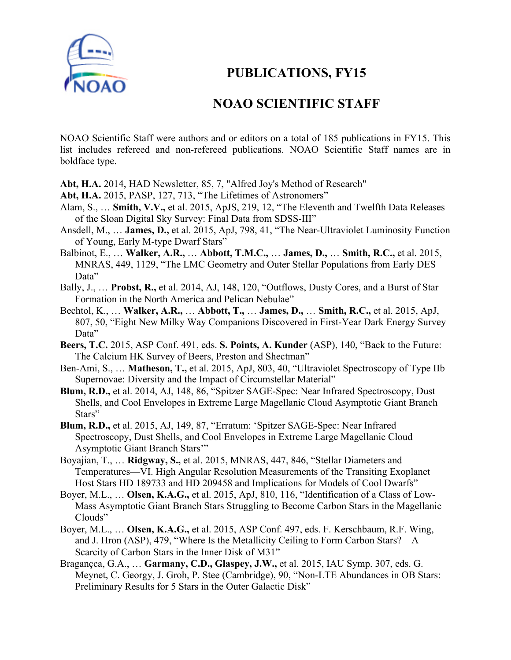

## **PUBLICATIONS, FY15**

## **NOAO SCIENTIFIC STAFF**

NOAO Scientific Staff were authors and or editors on a total of 185 publications in FY15. This list includes refereed and non-refereed publications. NOAO Scientific Staff names are in boldface type.

**Abt, H.A.** 2014, HAD Newsletter, 85, 7, "Alfred Joy's Method of Research"

- **Abt, H.A.** 2015, PASP, 127, 713, "The Lifetimes of Astronomers"
- Alam, S., … **Smith, V.V.,** et al. 2015, ApJS, 219, 12, "The Eleventh and Twelfth Data Releases of the Sloan Digital Sky Survey: Final Data from SDSS-III"
- Ansdell, M., … **James, D.,** et al. 2015, ApJ, 798, 41, "The Near-Ultraviolet Luminosity Function of Young, Early M-type Dwarf Stars"
- Balbinot, E., … **Walker, A.R.,** … **Abbott, T.M.C.,** … **James, D.,** … **Smith, R.C.,** et al. 2015, MNRAS, 449, 1129, "The LMC Geometry and Outer Stellar Populations from Early DES Data"
- Bally, J., … **Probst, R.,** et al. 2014, AJ, 148, 120, "Outflows, Dusty Cores, and a Burst of Star Formation in the North America and Pelican Nebulae"
- Bechtol, K., … **Walker, A.R.,** … **Abbott, T.,** … **James, D.,** … **Smith, R.C.,** et al. 2015, ApJ, 807, 50, "Eight New Milky Way Companions Discovered in First-Year Dark Energy Survey Data"
- **Beers, T.C.** 2015, ASP Conf. 491, eds. **S. Points, A. Kunder** (ASP), 140, "Back to the Future: The Calcium HK Survey of Beers, Preston and Shectman"
- Ben-Ami, S., … **Matheson, T.,** et al. 2015, ApJ, 803, 40, "Ultraviolet Spectroscopy of Type IIb Supernovae: Diversity and the Impact of Circumstellar Material"
- **Blum, R.D.,** et al. 2014, AJ, 148, 86, "Spitzer SAGE-Spec: Near Infrared Spectroscopy, Dust Shells, and Cool Envelopes in Extreme Large Magellanic Cloud Asymptotic Giant Branch Stars"
- **Blum, R.D.,** et al. 2015, AJ, 149, 87, "Erratum: 'Spitzer SAGE-Spec: Near Infrared Spectroscopy, Dust Shells, and Cool Envelopes in Extreme Large Magellanic Cloud Asymptotic Giant Branch Stars'"
- Boyajian, T., … **Ridgway, S.,** et al. 2015, MNRAS, 447, 846, "Stellar Diameters and Temperatures—VI. High Angular Resolution Measurements of the Transiting Exoplanet Host Stars HD 189733 and HD 209458 and Implications for Models of Cool Dwarfs"
- Boyer, M.L., … **Olsen, K.A.G.,** et al. 2015, ApJ, 810, 116, "Identification of a Class of Low-Mass Asymptotic Giant Branch Stars Struggling to Become Carbon Stars in the Magellanic Clouds"
- Boyer, M.L., … **Olsen, K.A.G.,** et al. 2015, ASP Conf. 497, eds. F. Kerschbaum, R.F. Wing, and J. Hron (ASP), 479, "Where Is the Metallicity Ceiling to Form Carbon Stars?—A Scarcity of Carbon Stars in the Inner Disk of M31"
- Bragançca, G.A., … **Garmany, C.D., Glaspey, J.W.,** et al. 2015, IAU Symp. 307, eds. G. Meynet, C. Georgy, J. Groh, P. Stee (Cambridge), 90, "Non-LTE Abundances in OB Stars: Preliminary Results for 5 Stars in the Outer Galactic Disk"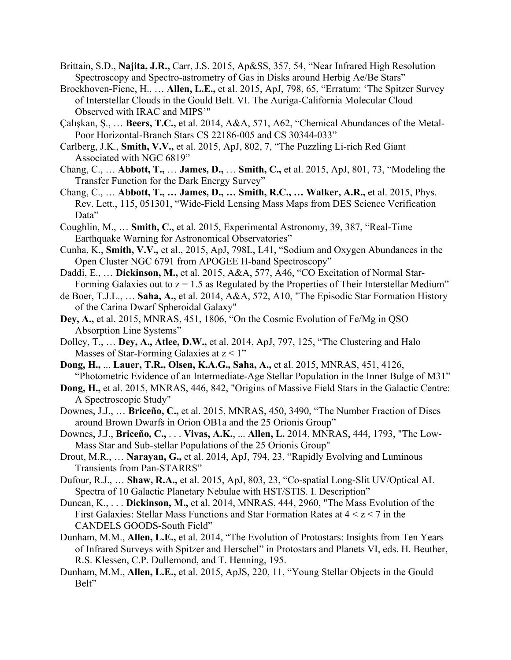- Brittain, S.D., **Najita, J.R.,** Carr, J.S. 2015, Ap&SS, 357, 54, "Near Infrared High Resolution Spectroscopy and Spectro-astrometry of Gas in Disks around Herbig Ae/Be Stars"
- Broekhoven-Fiene, H., … **Allen, L.E.,** et al. 2015, ApJ, 798, 65, "Erratum: 'The Spitzer Survey of Interstellar Clouds in the Gould Belt. VI. The Auriga-California Molecular Cloud Observed with IRAC and MIPS'"
- Çalışkan, Ş., … **Beers, T.C.,** et al. 2014, A&A, 571, A62, "Chemical Abundances of the Metal-Poor Horizontal-Branch Stars CS 22186-005 and CS 30344-033"
- Carlberg, J.K., **Smith, V.V.,** et al. 2015, ApJ, 802, 7, "The Puzzling Li-rich Red Giant Associated with NGC 6819"
- Chang, C., … **Abbott, T.,** … **James, D.,** … **Smith, C.,** et al. 2015, ApJ, 801, 73, "Modeling the Transfer Function for the Dark Energy Survey"
- Chang, C., … **Abbott, T., … James, D., … Smith, R.C., … Walker, A.R.,** et al. 2015, Phys. Rev. Lett., 115, 051301, "Wide-Field Lensing Mass Maps from DES Science Verification Data"
- Coughlin, M., … **Smith, C.**, et al. 2015, Experimental Astronomy, 39, 387, "Real-Time Earthquake Warning for Astronomical Observatories"
- Cunha, K., **Smith, V.V.,** et al., 2015, ApJ, 798L, L41, "Sodium and Oxygen Abundances in the Open Cluster NGC 6791 from APOGEE H-band Spectroscopy"
- Daddi, E., … **Dickinson, M.,** et al. 2015, A&A, 577, A46, "CO Excitation of Normal Star-Forming Galaxies out to  $z = 1.5$  as Regulated by the Properties of Their Interstellar Medium"
- de Boer, T.J.L., … **Saha, A.,** et al. 2014, A&A, 572, A10, "The Episodic Star Formation History of the Carina Dwarf Spheroidal Galaxy"
- **Dey, A.,** et al. 2015, MNRAS, 451, 1806, "On the Cosmic Evolution of Fe/Mg in QSO Absorption Line Systems"
- Dolley, T., … **Dey, A., Atlee, D.W.,** et al. 2014, ApJ, 797, 125, "The Clustering and Halo Masses of Star-Forming Galaxies at  $z < 1$ "
- **Dong, H.,** ... **Lauer, T.R., Olsen, K.A.G., Saha, A.,** et al. 2015, MNRAS, 451, 4126, "Photometric Evidence of an Intermediate-Age Stellar Population in the Inner Bulge of M31"
- **Dong, H.,** et al. 2015, MNRAS, 446, 842, "Origins of Massive Field Stars in the Galactic Centre: A Spectroscopic Study"
- Downes, J.J., … **Briceño, C.,** et al. 2015, MNRAS, 450, 3490, "The Number Fraction of Discs around Brown Dwarfs in Orion OB1a and the 25 Orionis Group"
- Downes, J.J., **Briceño, C.,** . . . **Vivas, A.K.**, ... **Allen, L.** 2014, MNRAS, 444, 1793, "The Low-Mass Star and Sub-stellar Populations of the 25 Orionis Group"
- Drout, M.R., … **Narayan, G.,** et al. 2014, ApJ, 794, 23, "Rapidly Evolving and Luminous Transients from Pan-STARRS"
- Dufour, R.J., … **Shaw, R.A.,** et al. 2015, ApJ, 803, 23, "Co-spatial Long-Slit UV/Optical AL Spectra of 10 Galactic Planetary Nebulae with HST/STIS. I. Description"
- Duncan, K., . . . **Dickinson, M.,** et al. 2014, MNRAS, 444, 2960, "The Mass Evolution of the First Galaxies: Stellar Mass Functions and Star Formation Rates at  $4 < z < 7$  in the CANDELS GOODS-South Field"
- Dunham, M.M., **Allen, L.E.,** et al. 2014, "The Evolution of Protostars: Insights from Ten Years of Infrared Surveys with Spitzer and Herschel" in Protostars and Planets VI, eds. H. Beuther, R.S. Klessen, C.P. Dullemond, and T. Henning, 195.
- Dunham, M.M., **Allen, L.E.,** et al. 2015, ApJS, 220, 11, "Young Stellar Objects in the Gould Belt"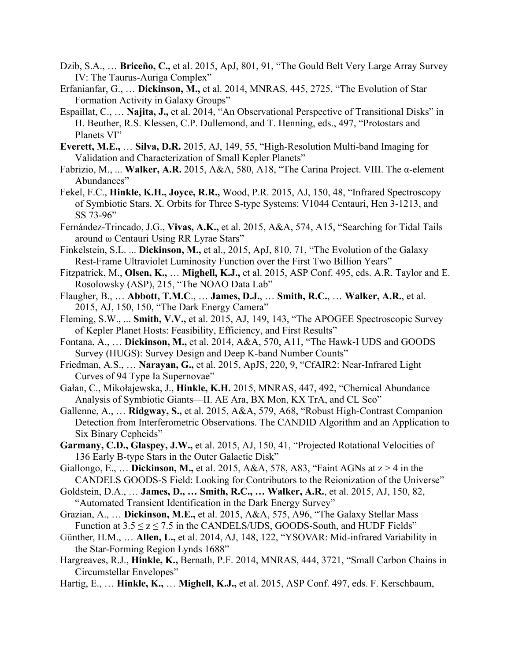- Dzib, S.A., … **Briceño, C.,** et al. 2015, ApJ, 801, 91, "The Gould Belt Very Large Array Survey IV: The Taurus-Auriga Complex"
- Erfanianfar, G., … **Dickinson, M.,** et al. 2014, MNRAS, 445, 2725, "The Evolution of Star Formation Activity in Galaxy Groups"
- Espaillat, C., … **Najita, J.,** et al. 2014, "An Observational Perspective of Transitional Disks" in H. Beuther, R.S. Klessen, C.P. Dullemond, and T. Henning, eds., 497, "Protostars and Planets VI"
- **Everett, M.E.,** … **Silva, D.R.** 2015, AJ, 149, 55, "High-Resolution Multi-band Imaging for Validation and Characterization of Small Kepler Planets"
- Fabrizio, M., ... **Walker, A.R.** 2015, A&A, 580, A18, "The Carina Project. VIII. The α-element Abundances"
- Fekel, F.C., **Hinkle, K.H., Joyce, R.R.,** Wood, P.R. 2015, AJ, 150, 48, "Infrared Spectroscopy of Symbiotic Stars. X. Orbits for Three S-type Systems: V1044 Centauri, Hen 3-1213, and SS 73-96"
- Fernández-Trincado, J.G., **Vivas, A.K.,** et al. 2015, A&A, 574, A15, "Searching for Tidal Tails around ω Centauri Using RR Lyrae Stars"
- Finkelstein, S.L. ... **Dickinson, M.,** et al., 2015, ApJ, 810, 71, "The Evolution of the Galaxy Rest-Frame Ultraviolet Luminosity Function over the First Two Billion Years"
- Fitzpatrick, M., **Olsen, K.,** … **Mighell, K.J.,** et al. 2015, ASP Conf. 495, eds. A.R. Taylor and E. Rosolowsky (ASP), 215, "The NOAO Data Lab"
- Flaugher, B., … **Abbott, T.M.C**., … **James, D.J.**, … **Smith, R.C.**, … **Walker, A.R.**, et al. 2015, AJ, 150, 150, "The Dark Energy Camera"
- Fleming, S.W., ... **Smith, V.V.,** et al. 2015, AJ, 149, 143, "The APOGEE Spectroscopic Survey of Kepler Planet Hosts: Feasibility, Efficiency, and First Results"
- Fontana, A., … **Dickinson, M.,** et al. 2014, A&A, 570, A11, "The Hawk-I UDS and GOODS Survey (HUGS): Survey Design and Deep K-band Number Counts"
- Friedman, A.S., … **Narayan, G.,** et al. 2015, ApJS, 220, 9, "CfAIR2: Near-Infrared Light Curves of 94 Type Ia Supernovae"
- Gałan, C., Mikołajewska, J., **Hinkle, K.H.** 2015, MNRAS, 447, 492, "Chemical Abundance Analysis of Symbiotic Giants—II. AE Ara, BX Mon, KX TrA, and CL Sco"
- Gallenne, A., … **Ridgway, S.,** et al. 2015, A&A, 579, A68, "Robust High-Contrast Companion Detection from Interferometric Observations. The CANDID Algorithm and an Application to Six Binary Cepheids"
- **Garmany, C.D., Glaspey, J.W.,** et al. 2015, AJ, 150, 41, "Projected Rotational Velocities of 136 Early B-type Stars in the Outer Galactic Disk"
- Giallongo, E., … **Dickinson, M.,** et al. 2015, A&A, 578, A83, "Faint AGNs at z > 4 in the CANDELS GOODS-S Field: Looking for Contributors to the Reionization of the Universe"
- Goldstein, D.A., … **James, D., … Smith, R.C., … Walker, A.R.**, et al. 2015, AJ, 150, 82, "Automated Transient Identification in the Dark Energy Survey"
- Grazian, A., … **Dickinson, M.E.,** et al. 2015, A&A, 575, A96, "The Galaxy Stellar Mass Function at  $3.5 \le z \le 7.5$  in the CANDELS/UDS, GOODS-South, and HUDF Fields"
- Günther, H.M., … **Allen, L.,** et al. 2014, AJ, 148, 122, "YSOVAR: Mid-infrared Variability in the Star-Forming Region Lynds 1688"
- Hargreaves, R.J., **Hinkle, K.,** Bernath, P.F. 2014, MNRAS, 444, 3721, "Small Carbon Chains in Circumstellar Envelopes"
- Hartig, E., … **Hinkle, K.,** … **Mighell, K.J.,** et al. 2015, ASP Conf. 497, eds. F. Kerschbaum,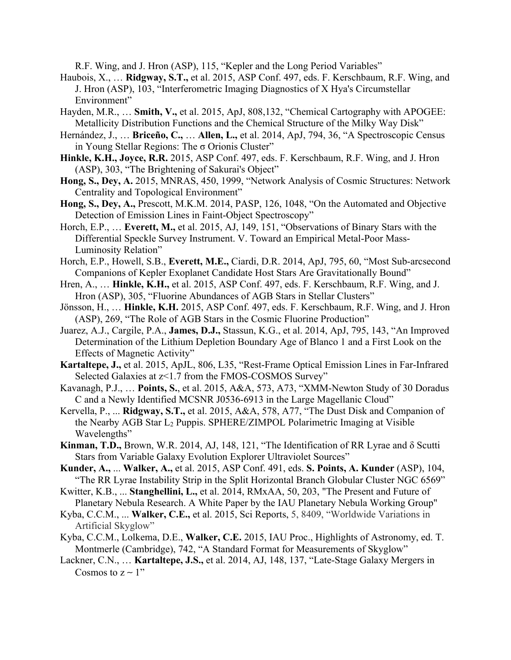R.F. Wing, and J. Hron (ASP), 115, "Kepler and the Long Period Variables"

- Haubois, X., … **Ridgway, S.T.,** et al. 2015, ASP Conf. 497, eds. F. Kerschbaum, R.F. Wing, and J. Hron (ASP), 103, "Interferometric Imaging Diagnostics of X Hya's Circumstellar Environment"
- Hayden, M.R., … **Smith, V.,** et al. 2015, ApJ, 808,132, "Chemical Cartography with APOGEE: Metallicity Distribution Functions and the Chemical Structure of the Milky Way Disk"
- Hernández, J., … **Briceño, C.,** … **Allen, L.,** et al. 2014, ApJ, 794, 36, "A Spectroscopic Census in Young Stellar Regions: The σ Orionis Cluster"
- **Hinkle, K.H., Joyce, R.R.** 2015, ASP Conf. 497, eds. F. Kerschbaum, R.F. Wing, and J. Hron (ASP), 303, "The Brightening of Sakurai's Object"
- **Hong, S., Dey, A.** 2015, MNRAS, 450, 1999, "Network Analysis of Cosmic Structures: Network Centrality and Topological Environment"
- **Hong, S., Dey, A.,** Prescott, M.K.M. 2014, PASP, 126, 1048, "On the Automated and Objective Detection of Emission Lines in Faint-Object Spectroscopy"
- Horch, E.P., … **Everett, M.,** et al. 2015, AJ, 149, 151, "Observations of Binary Stars with the Differential Speckle Survey Instrument. V. Toward an Empirical Metal-Poor Mass-Luminosity Relation"
- Horch, E.P., Howell, S.B., **Everett, M.E.,** Ciardi, D.R. 2014, ApJ, 795, 60, "Most Sub-arcsecond Companions of Kepler Exoplanet Candidate Host Stars Are Gravitationally Bound"
- Hren, A., … **Hinkle, K.H.,** et al. 2015, ASP Conf. 497, eds. F. Kerschbaum, R.F. Wing, and J. Hron (ASP), 305, "Fluorine Abundances of AGB Stars in Stellar Clusters"
- Jönsson, H., … **Hinkle, K.H.** 2015, ASP Conf. 497, eds. F. Kerschbaum, R.F. Wing, and J. Hron (ASP), 269, "The Role of AGB Stars in the Cosmic Fluorine Production"
- Juarez, A.J., Cargile, P.A., **James, D.J.,** Stassun, K.G., et al. 2014, ApJ, 795, 143, "An Improved Determination of the Lithium Depletion Boundary Age of Blanco 1 and a First Look on the Effects of Magnetic Activity"
- **Kartaltepe, J.,** et al. 2015, ApJL, 806, L35, "Rest-Frame Optical Emission Lines in Far-Infrared Selected Galaxies at z<1.7 from the FMOS-COSMOS Survey"
- Kavanagh, P.J., … **Points, S.**, et al. 2015, A&A, 573, A73, "XMM-Newton Study of 30 Doradus C and a Newly Identified MCSNR J0536-6913 in the Large Magellanic Cloud"
- Kervella, P., ... **Ridgway, S.T.,** et al. 2015, A&A, 578, A77, "The Dust Disk and Companion of the Nearby AGB Star L2 Puppis. SPHERE/ZIMPOL Polarimetric Imaging at Visible Wavelengths"
- **Kinman, T.D.,** Brown, W.R. 2014, AJ, 148, 121, "The Identification of RR Lyrae and δ Scutti Stars from Variable Galaxy Evolution Explorer Ultraviolet Sources"
- **Kunder, A.,** ... **Walker, A.,** et al. 2015, ASP Conf. 491, eds. **S. Points, A. Kunder** (ASP), 104, "The RR Lyrae Instability Strip in the Split Horizontal Branch Globular Cluster NGC 6569"
- Kwitter, K.B., ... **Stanghellini, L.,** et al. 2014, RMxAA, 50, 203, "The Present and Future of Planetary Nebula Research. A White Paper by the IAU Planetary Nebula Working Group"
- Kyba, C.C.M., ... **Walker, C.E.,** et al. 2015, Sci Reports, 5, 8409, "Worldwide Variations in Artificial Skyglow"
- Kyba, C.C.M., Lolkema, D.E., **Walker, C.E.** 2015, IAU Proc., Highlights of Astronomy, ed. T. Montmerle (Cambridge), 742, "A Standard Format for Measurements of Skyglow"
- Lackner, C.N., … **Kartaltepe, J.S.,** et al. 2014, AJ, 148, 137, "Late-Stage Galaxy Mergers in Cosmos to  $z \sim 1$ "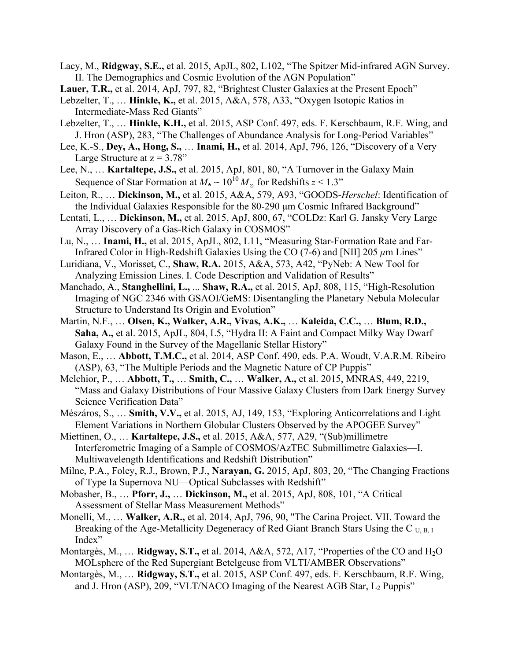- Lacy, M., **Ridgway, S.E.,** et al. 2015, ApJL, 802, L102, "The Spitzer Mid-infrared AGN Survey. II. The Demographics and Cosmic Evolution of the AGN Population"
- Lauer, T.R., et al. 2014, ApJ, 797, 82, "Brightest Cluster Galaxies at the Present Epoch"
- Lebzelter, T., … **Hinkle, K.,** et al. 2015, A&A, 578, A33, "Oxygen Isotopic Ratios in Intermediate-Mass Red Giants"
- Lebzelter, T., … **Hinkle, K.H.,** et al. 2015, ASP Conf. 497, eds. F. Kerschbaum, R.F. Wing, and J. Hron (ASP), 283, "The Challenges of Abundance Analysis for Long-Period Variables"
- Lee, K.-S., **Dey, A., Hong, S.,** … **Inami, H.,** et al. 2014, ApJ, 796, 126, "Discovery of a Very Large Structure at  $z = 3.78$ "
- Lee, N., … **Kartaltepe, J.S.,** et al. 2015, ApJ, 801, 80, "A Turnover in the Galaxy Main Sequence of Star Formation at  $M_* \sim 10^{10} M_{\odot}$  for Redshifts  $z \le 1.3$ "
- Leiton, R., … **Dickinson, M.,** et al. 2015, A&A, 579, A93, "GOODS-*Herschel*: Identification of the Individual Galaxies Responsible for the 80-290  $\mu$ m Cosmic Infrared Background"
- Lentati, L., … **Dickinson, M.,** et al. 2015, ApJ, 800, 67, "COLDz: Karl G. Jansky Very Large Array Discovery of a Gas-Rich Galaxy in COSMOS"
- Lu, N., … **Inami, H.,** et al. 2015, ApJL, 802, L11, "Measuring Star-Formation Rate and Far-Infrared Color in High-Redshift Galaxies Using the CO (7-6) and [NII] 205  $\mu$ m Lines"
- Luridiana, V., Morisset, C., **Shaw, R.A.** 2015, A&A, 573, A42, "PyNeb: A New Tool for Analyzing Emission Lines. I. Code Description and Validation of Results"
- Manchado, A., **Stanghellini, L.,** ... **Shaw, R.A.,** et al. 2015, ApJ, 808, 115, "High-Resolution Imaging of NGC 2346 with GSAOI/GeMS: Disentangling the Planetary Nebula Molecular Structure to Understand Its Origin and Evolution"
- Martin, N.F., … **Olsen, K., Walker, A.R., Vivas, A.K.,** … **Kaleida, C.C.,** … **Blum, R.D., Saha, A.,** et al. 2015, ApJL, 804, L5, "Hydra II: A Faint and Compact Milky Way Dwarf Galaxy Found in the Survey of the Magellanic Stellar History"
- Mason, E., … **Abbott, T.M.C.,** et al. 2014, ASP Conf. 490, eds. P.A. Woudt, V.A.R.M. Ribeiro (ASP), 63, "The Multiple Periods and the Magnetic Nature of CP Puppis"
- Melchior, P., … **Abbott, T.,** … **Smith, C.,** … **Walker, A.,** et al. 2015, MNRAS, 449, 2219, "Mass and Galaxy Distributions of Four Massive Galaxy Clusters from Dark Energy Survey Science Verification Data"
- Mészáros, S., … **Smith, V.V.,** et al. 2015, AJ, 149, 153, "Exploring Anticorrelations and Light Element Variations in Northern Globular Clusters Observed by the APOGEE Survey"
- Miettinen, O., … **Kartaltepe, J.S.,** et al. 2015, A&A, 577, A29, "(Sub)millimetre Interferometric Imaging of a Sample of COSMOS/AzTEC Submillimetre Galaxies—I. Multiwavelength Identifications and Redshift Distribution"
- Milne, P.A., Foley, R.J., Brown, P.J., **Narayan, G.** 2015, ApJ, 803, 20, "The Changing Fractions of Type Ia Supernova NU—Optical Subclasses with Redshift"
- Mobasher, B., … **Pforr, J.,** … **Dickinson, M.,** et al. 2015, ApJ, 808, 101, "A Critical Assessment of Stellar Mass Measurement Methods"
- Monelli, M., … **Walker, A.R.,** et al. 2014, ApJ, 796, 90, "The Carina Project. VII. Toward the Breaking of the Age-Metallicity Degeneracy of Red Giant Branch Stars Using the C<sub>U, B, I</sub> Index"
- Montargès, M., ... **Ridgway, S.T.,** et al. 2014, A&A, 572, A17, "Properties of the CO and H<sub>2</sub>O MOLsphere of the Red Supergiant Betelgeuse from VLTI/AMBER Observations"
- Montargès, M., … **Ridgway, S.T.,** et al. 2015, ASP Conf. 497, eds. F. Kerschbaum, R.F. Wing, and J. Hron (ASP), 209, "VLT/NACO Imaging of the Nearest AGB Star,  $L_2$  Puppis"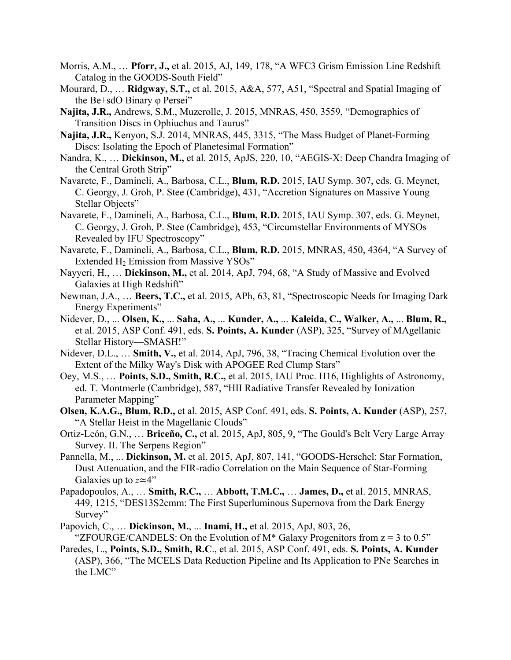- Morris, A.M., … **Pforr, J.,** et al. 2015, AJ, 149, 178, "A WFC3 Grism Emission Line Redshift Catalog in the GOODS-South Field"
- Mourard, D., … **Ridgway, S.T.,** et al. 2015, A&A, 577, A51, "Spectral and Spatial Imaging of the Be+sdO Binary φ Persei"
- **Najita, J.R.,** Andrews, S.M., Muzerolle, J. 2015, MNRAS, 450, 3559, "Demographics of Transition Discs in Ophiuchus and Taurus"
- **Najita, J.R.,** Kenyon, S.J. 2014, MNRAS, 445, 3315, "The Mass Budget of Planet-Forming Discs: Isolating the Epoch of Planetesimal Formation"
- Nandra, K., … **Dickinson, M.,** et al. 2015, ApJS, 220, 10, "AEGIS-X: Deep Chandra Imaging of the Central Groth Strip"
- Navarete, F., Damineli, A., Barbosa, C.L., **Blum, R.D.** 2015, IAU Symp. 307, eds. G. Meynet, C. Georgy, J. Groh, P. Stee (Cambridge), 431, "Accretion Signatures on Massive Young Stellar Objects"
- Navarete, F., Damineli, A., Barbosa, C.L., **Blum, R.D.** 2015, IAU Symp. 307, eds. G. Meynet, C. Georgy, J. Groh, P. Stee (Cambridge), 453, "Circumstellar Environments of MYSOs Revealed by IFU Spectroscopy"
- Navarete, F., Damineli, A., Barbosa, C.L., **Blum, R.D.** 2015, MNRAS, 450, 4364, "A Survey of Extended H2 Emission from Massive YSOs"
- Nayyeri, H., … **Dickinson, M.,** et al. 2014, ApJ, 794, 68, "A Study of Massive and Evolved Galaxies at High Redshift"
- Newman, J.A., … **Beers, T.C.,** et al. 2015, APh, 63, 81, "Spectroscopic Needs for Imaging Dark Energy Experiments"
- Nidever, D., ... **Olsen, K.,** ... **Saha, A.,** ... **Kunder, A.,** ... **Kaleida, C., Walker, A.,** ... **Blum, R.,**  et al. 2015, ASP Conf. 491, eds. **S. Points, A. Kunder** (ASP), 325, "Survey of MAgellanic Stellar History—SMASH!"
- Nidever, D.L., … **Smith, V.,** et al. 2014, ApJ, 796, 38, "Tracing Chemical Evolution over the Extent of the Milky Way's Disk with APOGEE Red Clump Stars"
- Oey, M.S., … **Points, S.D., Smith, R.C.,** et al. 2015, IAU Proc. H16, Highlights of Astronomy, ed. T. Montmerle (Cambridge), 587, "HII Radiative Transfer Revealed by Ionization Parameter Mapping"
- **Olsen, K.A.G., Blum, R.D.,** et al. 2015, ASP Conf. 491, eds. **S. Points, A. Kunder** (ASP), 257, "A Stellar Heist in the Magellanic Clouds"
- Ortiz-León, G.N., … **Briceño, C.,** et al. 2015, ApJ, 805, 9, "The Gould's Belt Very Large Array Survey. II. The Serpens Region"
- Pannella, M., ... **Dickinson, M.** et al. 2015, ApJ, 807, 141, "GOODS-Herschel: Star Formation, Dust Attenuation, and the FIR-radio Correlation on the Main Sequence of Star-Forming Galaxies up to *z*≃4"
- Papadopoulos, A., … **Smith, R.C.,** … **Abbott, T.M.C.,** … **James, D.,** et al. 2015, MNRAS, 449, 1215, "DES13S2cmm: The First Superluminous Supernova from the Dark Energy Survey"
- Papovich, C., … **Dickinson, M.**, ... **Inami, H.,** et al. 2015, ApJ, 803, 26, "ZFOURGE/CANDELS: On the Evolution of M<sup>\*</sup> Galaxy Progenitors from  $z = 3$  to 0.5"
- Paredes, L., **Points, S.D., Smith, R.C**., et al. 2015, ASP Conf. 491, eds. **S. Points, A. Kunder** (ASP), 366, "The MCELS Data Reduction Pipeline and Its Application to PNe Searches in the LMC"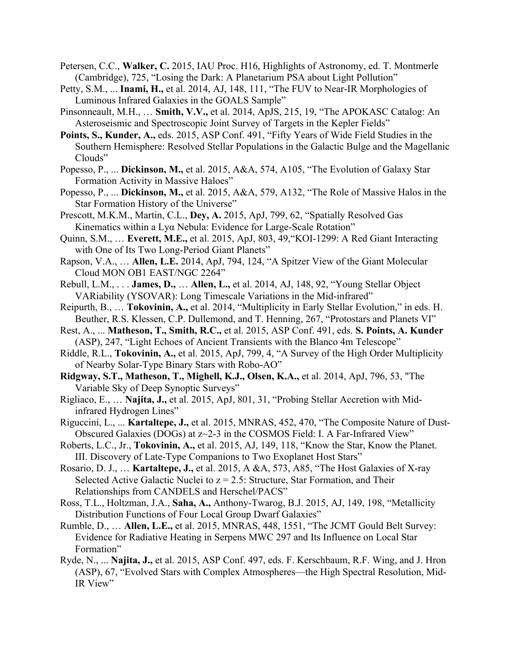- Petersen, C.C., **Walker, C.** 2015, IAU Proc. H16, Highlights of Astronomy, ed. T. Montmerle (Cambridge), 725, "Losing the Dark: A Planetarium PSA about Light Pollution"
- Petty, S.M., ... **Inami, H.,** et al. 2014, AJ, 148, 111, "The FUV to Near-IR Morphologies of Luminous Infrared Galaxies in the GOALS Sample"
- Pinsonneault, M.H., … **Smith, V.V.,** et al. 2014, ApJS, 215, 19, "The APOKASC Catalog: An Asteroseismic and Spectroscopic Joint Survey of Targets in the Kepler Fields"
- **Points, S., Kunder, A.,** eds. 2015, ASP Conf. 491, "Fifty Years of Wide Field Studies in the Southern Hemisphere: Resolved Stellar Populations in the Galactic Bulge and the Magellanic Clouds"
- Popesso, P., ... **Dickinson, M.,** et al. 2015, A&A, 574, A105, "The Evolution of Galaxy Star Formation Activity in Massive Haloes"
- Popesso, P., ... **Dickinson, M.,** et al. 2015, A&A, 579, A132, "The Role of Massive Halos in the Star Formation History of the Universe"
- Prescott, M.K.M., Martin, C.L., **Dey, A.** 2015, ApJ, 799, 62, "Spatially Resolved Gas Kinematics within a Lyα Nebula: Evidence for Large-Scale Rotation"
- Quinn, S.M., … **Everett, M.E.,** et al. 2015, ApJ, 803, 49,"KOI-1299: A Red Giant Interacting with One of Its Two Long-Period Giant Planets"
- Rapson, V.A., … **Allen, L.E.** 2014, ApJ, 794, 124, "A Spitzer View of the Giant Molecular Cloud MON OB1 EAST/NGC 2264"
- Rebull, L.M., . . . **James, D.,** … **Allen, L.,** et al. 2014, AJ, 148, 92, "Young Stellar Object VARiability (YSOVAR): Long Timescale Variations in the Mid-infrared"
- Reipurth, B., … **Tokovinin, A.,** et al. 2014, "Multiplicity in Early Stellar Evolution," in eds. H. Beuther, R.S. Klessen, C.P. Dullemond, and T. Henning, 267, "Protostars and Planets VI"
- Rest, A., ... **Matheson, T., Smith, R.C.,** et al. 2015, ASP Conf. 491, eds. **S. Points, A. Kunder** (ASP), 247, "Light Echoes of Ancient Transients with the Blanco 4m Telescope"
- Riddle, R.L., **Tokovinin, A.,** et al. 2015, ApJ, 799, 4, "A Survey of the High Order Multiplicity of Nearby Solar-Type Binary Stars with Robo-AO"
- **Ridgway, S.T., Matheson, T., Mighell, K.J., Olsen, K.A.,** et al. 2014, ApJ, 796, 53, "The Variable Sky of Deep Synoptic Surveys"
- Rigliaco, E., … **Najita, J.,** et al. 2015, ApJ, 801, 31, "Probing Stellar Accretion with Midinfrared Hydrogen Lines"
- Riguccini, L., ... **Kartaltepe, J.,** et al. 2015, MNRAS, 452, 470, "The Composite Nature of Dust-Obscured Galaxies (DOGs) at z~2-3 in the COSMOS Field: I. A Far-Infrared View"
- Roberts, L.C., Jr., **Tokovinin, A.,** et al. 2015, AJ, 149, 118, "Know the Star, Know the Planet. III. Discovery of Late-Type Companions to Two Exoplanet Host Stars"
- Rosario, D. J., … **Kartaltepe, J.,** et al. 2015, A &A, 573, A85, "The Host Galaxies of X-ray Selected Active Galactic Nuclei to  $z = 2.5$ : Structure, Star Formation, and Their Relationships from CANDELS and Herschel/PACS"
- Ross, T.L., Holtzman, J.A., **Saha, A.,** Anthony-Twarog, B.J. 2015, AJ, 149, 198, "Metallicity Distribution Functions of Four Local Group Dwarf Galaxies"
- Rumble, D., … **Allen, L.E.,** et al. 2015, MNRAS, 448, 1551, "The JCMT Gould Belt Survey: Evidence for Radiative Heating in Serpens MWC 297 and Its Influence on Local Star Formation"
- Ryde, N., ... **Najita, J.,** et al. 2015, ASP Conf. 497, eds. F. Kerschbaum, R.F. Wing, and J. Hron (ASP), 67, "Evolved Stars with Complex Atmospheres—the High Spectral Resolution, Mid-IR View"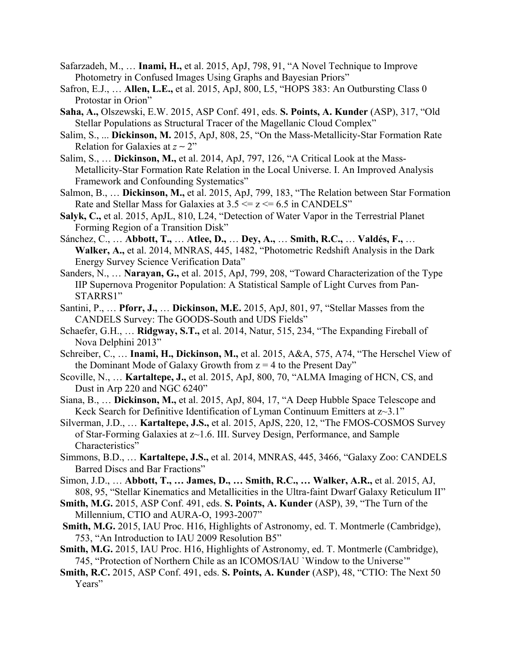- Safarzadeh, M., … **Inami, H.,** et al. 2015, ApJ, 798, 91, "A Novel Technique to Improve Photometry in Confused Images Using Graphs and Bayesian Priors"
- Safron, E.J., … **Allen, L.E.,** et al. 2015, ApJ, 800, L5, "HOPS 383: An Outbursting Class 0 Protostar in Orion"
- **Saha, A.,** Olszewski, E.W. 2015, ASP Conf. 491, eds. **S. Points, A. Kunder** (ASP), 317, "Old Stellar Populations as Structural Tracer of the Magellanic Cloud Complex"
- Salim, S., ... **Dickinson, M.** 2015, ApJ, 808, 25, "On the Mass-Metallicity-Star Formation Rate Relation for Galaxies at *z* ∼ 2"
- Salim, S., … **Dickinson, M.,** et al. 2014, ApJ, 797, 126, "A Critical Look at the Mass-Metallicity-Star Formation Rate Relation in the Local Universe. I. An Improved Analysis Framework and Confounding Systematics"
- Salmon, B., … **Dickinson, M.,** et al. 2015, ApJ, 799, 183, "The Relation between Star Formation Rate and Stellar Mass for Galaxies at  $3.5 \le z \le 6.5$  in CANDELS"
- **Salyk, C.,** et al. 2015, ApJL, 810, L24, "Detection of Water Vapor in the Terrestrial Planet Forming Region of a Transition Disk"
- Sánchez, C., … **Abbott, T.,** … **Atlee, D.,** … **Dey, A.,** … **Smith, R.C.,** … **Valdés, F.,** … **Walker, A.,** et al. 2014, MNRAS, 445, 1482, "Photometric Redshift Analysis in the Dark Energy Survey Science Verification Data"
- Sanders, N., … **Narayan, G.,** et al. 2015, ApJ, 799, 208, "Toward Characterization of the Type IIP Supernova Progenitor Population: A Statistical Sample of Light Curves from Pan-STARRS1"
- Santini, P., … **Pforr, J.,** … **Dickinson, M.E.** 2015, ApJ, 801, 97, "Stellar Masses from the CANDELS Survey: The GOODS-South and UDS Fields"
- Schaefer, G.H., … **Ridgway, S.T.,** et al. 2014, Natur, 515, 234, "The Expanding Fireball of Nova Delphini 2013"
- Schreiber, C., … **Inami, H., Dickinson, M.,** et al. 2015, A&A, 575, A74, "The Herschel View of the Dominant Mode of Galaxy Growth from  $z = 4$  to the Present Day"
- Scoville, N., … **Kartaltepe, J.,** et al. 2015, ApJ, 800, 70, "ALMA Imaging of HCN, CS, and Dust in Arp 220 and NGC 6240"
- Siana, B., … **Dickinson, M.,** et al. 2015, ApJ, 804, 17, "A Deep Hubble Space Telescope and Keck Search for Definitive Identification of Lyman Continuum Emitters at z~3.1"
- Silverman, J.D., … **Kartaltepe, J.S.,** et al. 2015, ApJS, 220, 12, "The FMOS-COSMOS Survey of Star-Forming Galaxies at z~1.6. III. Survey Design, Performance, and Sample Characteristics"
- Simmons, B.D., … **Kartaltepe, J.S.,** et al. 2014, MNRAS, 445, 3466, "Galaxy Zoo: CANDELS Barred Discs and Bar Fractions"
- Simon, J.D., … **Abbott, T., … James, D., … Smith, R.C., … Walker, A.R.,** et al. 2015, AJ, 808, 95, "Stellar Kinematics and Metallicities in the Ultra-faint Dwarf Galaxy Reticulum II"
- **Smith, M.G.** 2015, ASP Conf. 491, eds. **S. Points, A. Kunder** (ASP), 39, "The Turn of the Millennium, CTIO and AURA-O, 1993-2007"
- **Smith, M.G.** 2015, IAU Proc. H16, Highlights of Astronomy, ed. T. Montmerle (Cambridge), 753, "An Introduction to IAU 2009 Resolution B5"
- **Smith, M.G.** 2015, IAU Proc. H16, Highlights of Astronomy, ed. T. Montmerle (Cambridge), 745, "Protection of Northern Chile as an ICOMOS/IAU `Window to the Universe'''
- **Smith, R.C.** 2015, ASP Conf. 491, eds. **S. Points, A. Kunder** (ASP), 48, "CTIO: The Next 50 Years"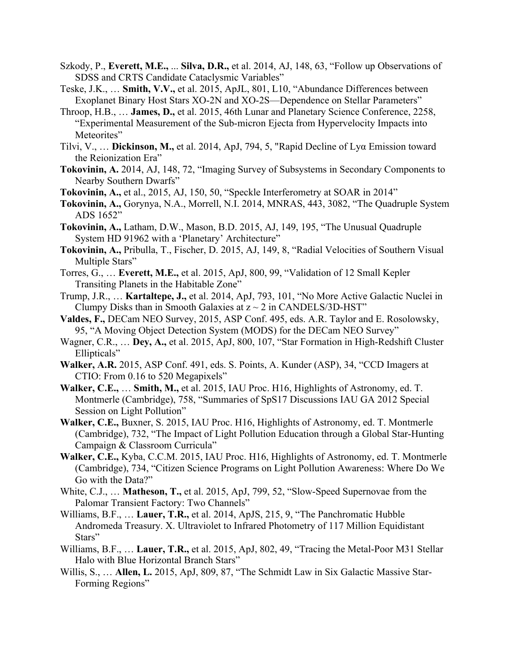- Szkody, P., **Everett, M.E.,** ... **Silva, D.R.,** et al. 2014, AJ, 148, 63, "Follow up Observations of SDSS and CRTS Candidate Cataclysmic Variables"
- Teske, J.K., … **Smith, V.V.,** et al. 2015, ApJL, 801, L10, "Abundance Differences between Exoplanet Binary Host Stars XO-2N and XO-2S—Dependence on Stellar Parameters"
- Throop, H.B., … **James, D.,** et al. 2015, 46th Lunar and Planetary Science Conference, 2258, "Experimental Measurement of the Sub-micron Ejecta from Hypervelocity Impacts into Meteorites"
- Tilvi, V., … **Dickinson, M.,** et al. 2014, ApJ, 794, 5, "Rapid Decline of Lyα Emission toward the Reionization Era"
- **Tokovinin, A.** 2014, AJ, 148, 72, "Imaging Survey of Subsystems in Secondary Components to Nearby Southern Dwarfs"
- **Tokovinin, A.,** et al., 2015, AJ, 150, 50, "Speckle Interferometry at SOAR in 2014"
- **Tokovinin, A.,** Gorynya, N.A., Morrell, N.I. 2014, MNRAS, 443, 3082, "The Quadruple System ADS 1652"
- **Tokovinin, A.,** Latham, D.W., Mason, B.D. 2015, AJ, 149, 195, "The Unusual Quadruple System HD 91962 with a 'Planetary' Architecture"
- **Tokovinin, A.,** Pribulla, T., Fischer, D. 2015, AJ, 149, 8, "Radial Velocities of Southern Visual Multiple Stars"
- Torres, G., … **Everett, M.E.,** et al. 2015, ApJ, 800, 99, "Validation of 12 Small Kepler Transiting Planets in the Habitable Zone"
- Trump, J.R., … **Kartaltepe, J.,** et al. 2014, ApJ, 793, 101, "No More Active Galactic Nuclei in Clumpy Disks than in Smooth Galaxies at  $z \sim 2$  in CANDELS/3D-HST"
- **Valdes, F.,** DECam NEO Survey, 2015, ASP Conf. 495, eds. A.R. Taylor and E. Rosolowsky, 95, "A Moving Object Detection System (MODS) for the DECam NEO Survey"
- Wagner, C.R., … **Dey, A.,** et al. 2015, ApJ, 800, 107, "Star Formation in High-Redshift Cluster Ellipticals"
- **Walker, A.R.** 2015, ASP Conf. 491, eds. S. Points, A. Kunder (ASP), 34, "CCD Imagers at CTIO: From 0.16 to 520 Megapixels"
- **Walker, C.E.,** … **Smith, M.,** et al. 2015, IAU Proc. H16, Highlights of Astronomy, ed. T. Montmerle (Cambridge), 758, "Summaries of SpS17 Discussions IAU GA 2012 Special Session on Light Pollution"
- **Walker, C.E.,** Buxner, S. 2015, IAU Proc. H16, Highlights of Astronomy, ed. T. Montmerle (Cambridge), 732, "The Impact of Light Pollution Education through a Global Star-Hunting Campaign & Classroom Curricula"
- **Walker, C.E.,** Kyba, C.C.M. 2015, IAU Proc. H16, Highlights of Astronomy, ed. T. Montmerle (Cambridge), 734, "Citizen Science Programs on Light Pollution Awareness: Where Do We Go with the Data?"
- White, C.J., … **Matheson, T.,** et al. 2015, ApJ, 799, 52, "Slow-Speed Supernovae from the Palomar Transient Factory: Two Channels"
- Williams, B.F., … **Lauer, T.R.,** et al. 2014, ApJS, 215, 9, "The Panchromatic Hubble Andromeda Treasury. X. Ultraviolet to Infrared Photometry of 117 Million Equidistant Stars"
- Williams, B.F., … **Lauer, T.R.,** et al. 2015, ApJ, 802, 49, "Tracing the Metal-Poor M31 Stellar Halo with Blue Horizontal Branch Stars"
- Willis, S., … **Allen, L.** 2015, ApJ, 809, 87, "The Schmidt Law in Six Galactic Massive Star-Forming Regions"